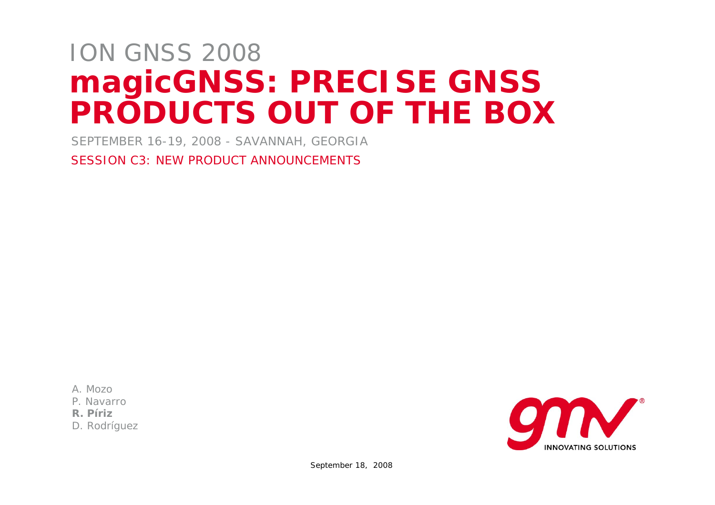# **magicGNSS: PRECISE GNSS PRODUCTS OUT OF THE BOX** ION GNSS 2008

SEPTEMBER 16-19, 2008 - SAVANNAH, GEORGIA

SESSION C3: NEW PRODUCT ANNOUNCEMENTS

A. Mozo

P. Navarro

**R. Píriz**

D. Rodríguez

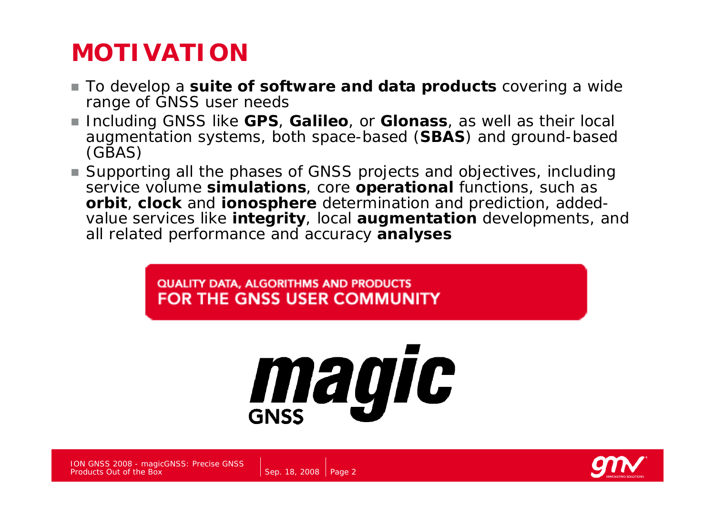## **MOTIVATION**

- To develop a **suite of software and data products** covering a wide range of GNSS user needs
- Including GNSS like GPS, Galileo, or Glonass, as well as their local augmentation systems, both space-based (**SBAS**) and ground-based (GBAS)
- Supporting all the phases of GNSS projects and objectives, including service volume **simulations**, core **operational** functions, such as **orbit**, **clock** and **ionosphere** determination and prediction, addedvalue services like **integrity**, local **augmentation** developments, and all related performance and accuracy **analyses**

QUALITY DATA, ALGORITHMS AND PRODUCTS FOR THE GNSS USER COMMUNITY

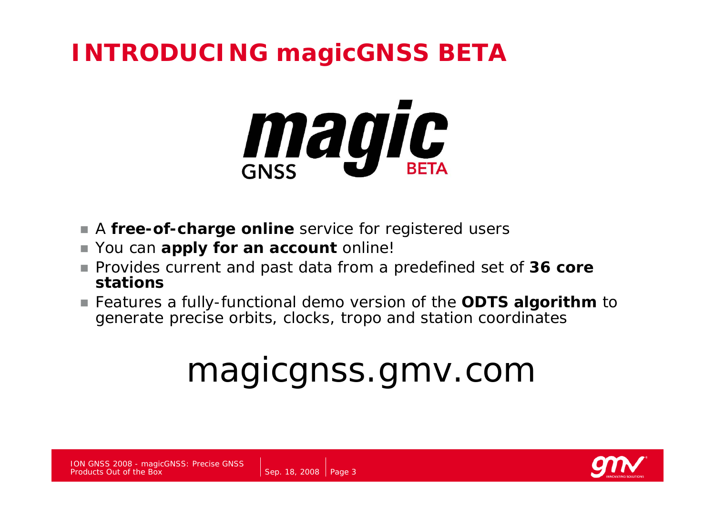## **INTRODUCING magicGNSS BETA**



 $\mathcal{L}_{\mathcal{A}}$ A **free-of-charge online** service for registered users

Sep. 18, 2008 | Page 3

- $\mathbb{R}^n$ You can **apply for an account** online!
- Provides current and past data from a predefined set of 36 *core stations*
- Features a fully-functional demo version of the **ODTS algorithm** to generate precise orbits, clocks, tropo and station coordinates

# magicgnss.gmv.com

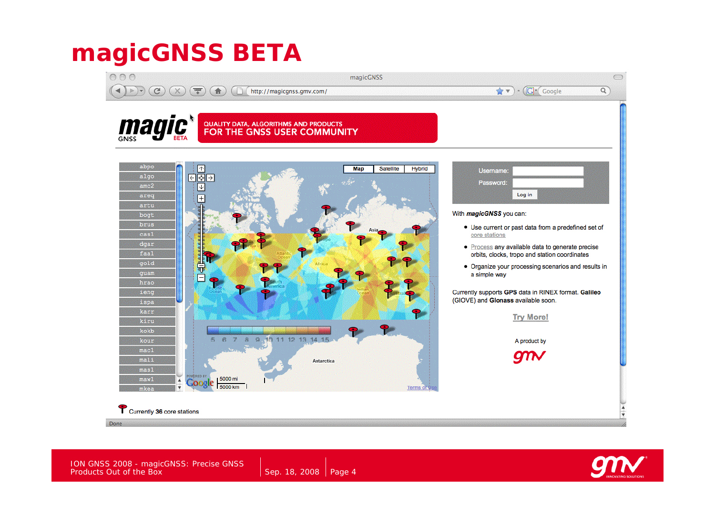## **magicGNSS BETA**



Done

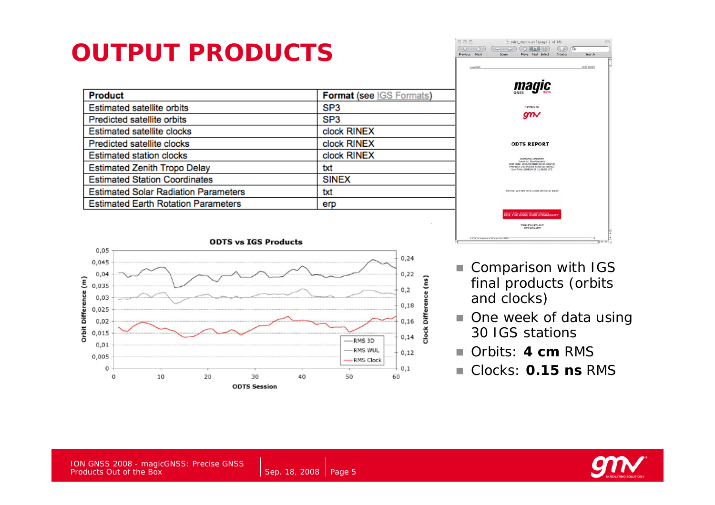# **OUTPUT PRODUCTS**

| <b>Product</b>                              | <b>Format (see IGS Formats)</b> |
|---------------------------------------------|---------------------------------|
| <b>Estimated satellite orbits</b>           | SP <sub>3</sub>                 |
| <b>Predicted satellite orbits</b>           | SP <sub>3</sub>                 |
| <b>Estimated satellite clocks</b>           | clock RINEX                     |
| Predicted satellite clocks                  | clock RINEX                     |
| <b>Estimated station clocks</b>             | clock RINEX                     |
| <b>Estimated Zenith Tropo Delay</b>         | txt                             |
| <b>Estimated Station Coordinates</b>        | <b>SINEX</b>                    |
| <b>Estimated Solar Radiation Parameters</b> | txt                             |
| <b>Estimated Earth Rotation Parameters</b>  | erp                             |





- $\mathcal{L}_{\mathcal{A}}$  Comparison with IGS *final* products (orbits and clocks)
- $\mathcal{L}_{\mathcal{A}}$  One week of data using 30 IGS stations
- $\mathcal{L}_{\mathcal{A}}$ Orbits: **4 cm** RMS
- $\mathcal{L}_{\mathcal{A}}$ Clocks: **0.15 ns** RMS



ION GNSS 2008 - magicGNSS: Precise GNSS Products Out of the Box

Sep. 18, 2008  $\vert$  Page 5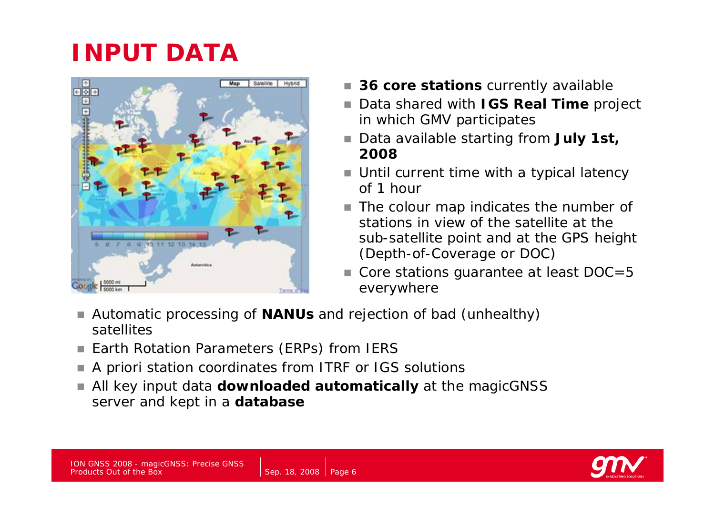# **INPUT DATA**



- 36 *core stations* currently available
- П Data shared with **IGS Real Time** project in which GMV participates
- Data available starting from **July 1st**, **2008**
- Until current time with a typical latency of 1 hour
- The colour map indicates the number of stations in view of the satellite at the sub-satellite point and at the GPS height (Depth-of-Coverage or DOC)
- Core stations guarantee at least DOC=5 everywhere
- П Automatic processing of **NANUs** and rejection of *bad* (unhealthy) satellites
- П Earth Rotation Parameters (ERPs) from IERS
- П A priori station coordinates from ITRF or IGS solutions
- П All key input data **downloaded automatically** at the magicGNSS server and kept in a **database**

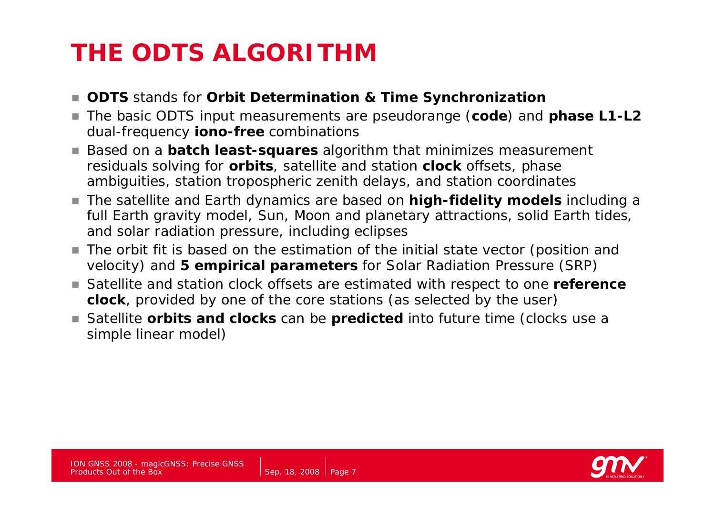# **THE ODTS ALGORITHM**

- **ODTS** stands for *Orbit Determination & Time Synchronization*
- $\mathcal{L}_{\mathcal{A}}$  The basic ODTS input measurements are pseudorange (**code**) and **phase L1-L2**  dual-frequency **iono-free** combinations
- П Based on a **batch least-squares** algorithm that minimizes measurement residuals solving for **orbits**, satellite and station **clock** offsets, phase ambiguities, station tropospheric zenith delays, and station coordinates
- The satellite and Earth dynamics are based on **high-fidelity models** including a full Earth gravity model, Sun, Moon and planetary attractions, solid Earth tides, and solar radiation pressure, including eclipses
- The orbit fit is based on the estimation of the initial state vector (position and velocity) and **5** *empirical* **parameters** *for* Solar Radiation Pressure (SRP)
- Satellite and station clock offsets are estimated with respect to one reference **clock**, provided by one of the core stations (as selected by the user)
- Satellite **orbits and clocks** can be **predicted** into future time (clocks use a simple linear model)

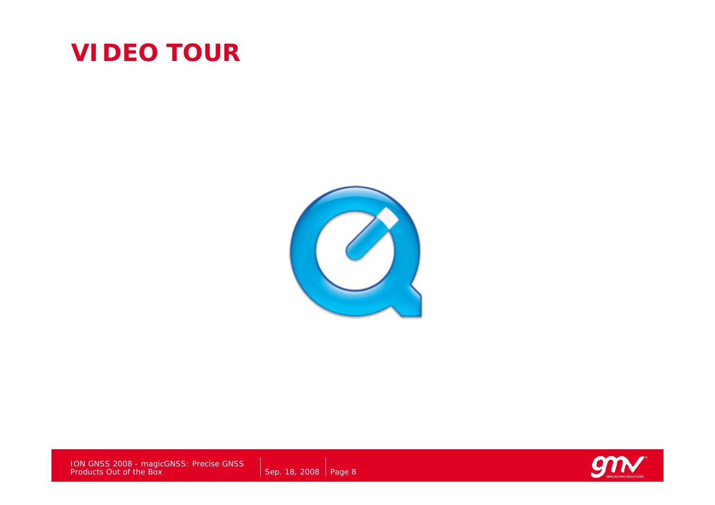#### **VIDEO TOUR**



ION GNSS 2008 - magicGNSS: Precise GNSS Products Out of the Box

Sep. 18, 2008  $\vert$  Page 8

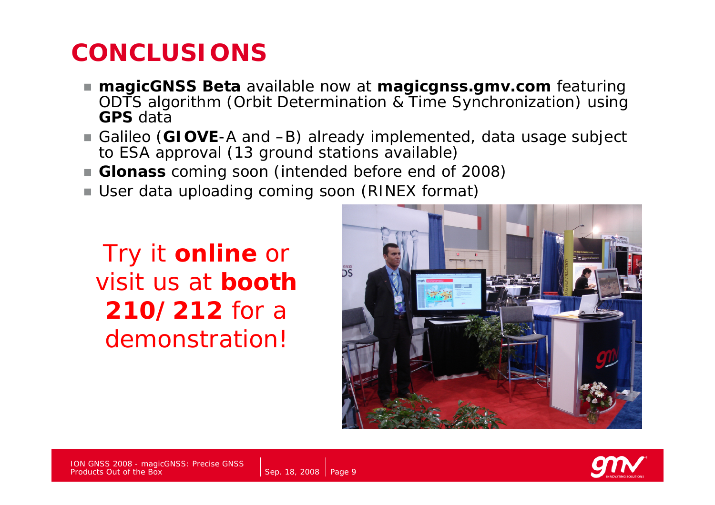#### **CONCLUSIONS**

- *magicGNSS Beta* available now at **magicgnss.gmv.com** featuring ODTS algorithm (Orbit Determination & Time Synchronization) using **GPS** data
- Galileo (**GIOVE**-A and –B) already implemented, data usage subject to ESA approval (13 ground stations available)
- **Glonass** coming soon (intended before end of 2008)
- User data uploading coming soon (RINEX format)

Try it **online** or visit us at **booth 210/212** for a demonstration!